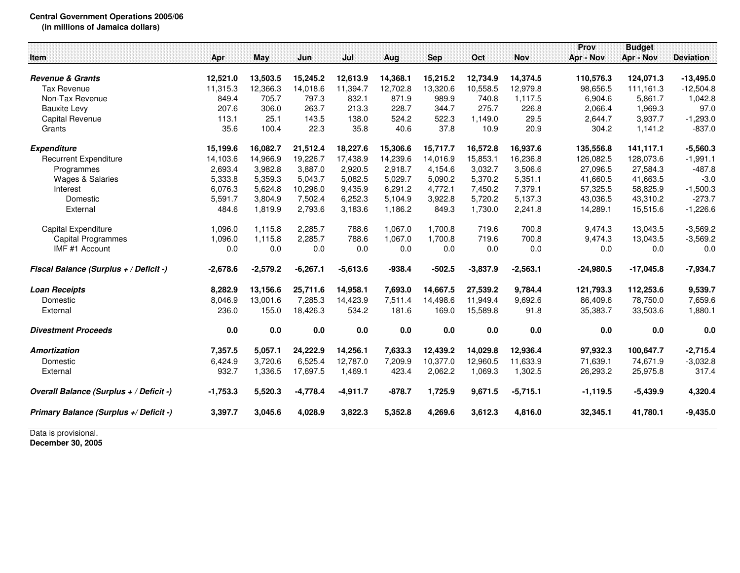## **Central Government Operations 2005/06 (in millions of Jamaica dollars)**

|                                         |            |            |            |            |          |            |            |            | Prov        | <b>Budget</b> |                  |
|-----------------------------------------|------------|------------|------------|------------|----------|------------|------------|------------|-------------|---------------|------------------|
| <b>Item</b>                             | Apr        | May        | Jun        | Jul        | Aug      | <b>Sep</b> | Oct        | <b>Nov</b> | Apr - Nov   | Apr - Nov     | <b>Deviation</b> |
|                                         |            |            |            |            |          |            |            |            |             |               |                  |
| <b>Revenue &amp; Grants</b>             | 12,521.0   | 13,503.5   | 15,245.2   | 12,613.9   | 14,368.1 | 15,215.2   | 12,734.9   | 14,374.5   | 110,576.3   | 124,071.3     | $-13,495.0$      |
| <b>Tax Revenue</b>                      | 11,315.3   | 12,366.3   | 14,018.6   | 11,394.7   | 12.702.8 | 13,320.6   | 10,558.5   | 12.979.8   | 98,656.5    | 111,161.3     | $-12,504.8$      |
| Non-Tax Revenue                         | 849.4      | 705.7      | 797.3      | 832.1      | 871.9    | 989.9      | 740.8      | 1,117.5    | 6,904.6     | 5,861.7       | 1,042.8          |
| <b>Bauxite Levy</b>                     | 207.6      | 306.0      | 263.7      | 213.3      | 228.7    | 344.7      | 275.7      | 226.8      | 2,066.4     | 1,969.3       | 97.0             |
| <b>Capital Revenue</b>                  | 113.1      | 25.1       | 143.5      | 138.0      | 524.2    | 522.3      | 1,149.0    | 29.5       | 2,644.7     | 3,937.7       | $-1,293.0$       |
| Grants                                  | 35.6       | 100.4      | 22.3       | 35.8       | 40.6     | 37.8       | 10.9       | 20.9       | 304.2       | 1,141.2       | $-837.0$         |
| <b>Expenditure</b>                      | 15,199.6   | 16,082.7   | 21,512.4   | 18,227.6   | 15,306.6 | 15,717.7   | 16,572.8   | 16,937.6   | 135,556.8   | 141,117.1     | $-5,560.3$       |
| <b>Recurrent Expenditure</b>            | 14,103.6   | 14.966.9   | 19,226.7   | 17,438.9   | 14.239.6 | 14.016.9   | 15,853.1   | 16,236.8   | 126,082.5   | 128,073.6     | $-1,991.1$       |
| Programmes                              | 2,693.4    | 3,982.8    | 3,887.0    | 2,920.5    | 2.918.7  | 4,154.6    | 3,032.7    | 3,506.6    | 27,096.5    | 27,584.3      | $-487.8$         |
| <b>Wages &amp; Salaries</b>             | 5,333.8    | 5,359.3    | 5,043.7    | 5,082.5    | 5,029.7  | 5,090.2    | 5,370.2    | 5,351.1    | 41,660.5    | 41,663.5      | $-3.0$           |
| Interest                                | 6,076.3    | 5,624.8    | 10,296.0   | 9,435.9    | 6,291.2  | 4,772.1    | 7,450.2    | 7,379.1    | 57,325.5    | 58,825.9      | $-1,500.3$       |
| Domestic                                | 5,591.7    | 3,804.9    | 7,502.4    | 6,252.3    | 5,104.9  | 3,922.8    | 5,720.2    | 5,137.3    | 43,036.5    | 43,310.2      | $-273.7$         |
| External                                | 484.6      | 1,819.9    | 2,793.6    | 3,183.6    | 1,186.2  | 849.3      | 1,730.0    | 2,241.8    | 14,289.1    | 15,515.6      | $-1,226.6$       |
| Capital Expenditure                     | 1,096.0    | 1,115.8    | 2,285.7    | 788.6      | 1,067.0  | 1,700.8    | 719.6      | 700.8      | 9,474.3     | 13,043.5      | $-3,569.2$       |
| Capital Programmes                      | 1,096.0    | 1.115.8    | 2.285.7    | 788.6      | 1.067.0  | 1.700.8    | 719.6      | 700.8      | 9,474.3     | 13,043.5      | $-3,569.2$       |
| IMF #1 Account                          | 0.0        | 0.0        | 0.0        | 0.0        | 0.0      | 0.0        | 0.0        | 0.0        | 0.0         | 0.0           | 0.0              |
| Fiscal Balance (Surplus + / Deficit -)  | $-2,678.6$ | $-2,579.2$ | $-6,267.1$ | $-5,613.6$ | $-938.4$ | $-502.5$   | $-3,837.9$ | $-2,563.1$ | $-24,980.5$ | $-17,045.8$   | $-7,934.7$       |
| <b>Loan Receipts</b>                    | 8,282.9    | 13,156.6   | 25,711.6   | 14,958.1   | 7,693.0  | 14,667.5   | 27,539.2   | 9,784.4    | 121,793.3   | 112,253.6     | 9,539.7          |
| Domestic                                | 8,046.9    | 13,001.6   | 7,285.3    | 14,423.9   | 7,511.4  | 14,498.6   | 11,949.4   | 9,692.6    | 86,409.6    | 78,750.0      | 7,659.6          |
| External                                | 236.0      | 155.0      | 18,426.3   | 534.2      | 181.6    | 169.0      | 15,589.8   | 91.8       | 35,383.7    | 33,503.6      | 1,880.1          |
| <b>Divestment Proceeds</b>              | 0.0        | 0.0        | 0.0        | 0.0        | 0.0      | 0.0        | 0.0        | 0.0        | 0.0         | 0.0           | 0.0              |
| Amortization                            | 7,357.5    | 5,057.1    | 24,222.9   | 14,256.1   | 7,633.3  | 12,439.2   | 14,029.8   | 12,936.4   | 97,932.3    | 100,647.7     | $-2,715.4$       |
| Domestic                                | 6,424.9    | 3,720.6    | 6,525.4    | 12,787.0   | 7,209.9  | 10,377.0   | 12,960.5   | 11,633.9   | 71,639.1    | 74,671.9      | $-3,032.8$       |
| External                                | 932.7      | 1,336.5    | 17,697.5   | 1,469.1    | 423.4    | 2,062.2    | 1,069.3    | 1,302.5    | 26,293.2    | 25,975.8      | 317.4            |
| Overall Balance (Surplus + / Deficit -) | $-1,753.3$ | 5,520.3    | $-4,778.4$ | $-4,911.7$ | $-878.7$ | 1,725.9    | 9,671.5    | $-5,715.1$ | $-1,119.5$  | $-5,439.9$    | 4,320.4          |
| Primary Balance (Surplus +/ Deficit -)  | 3,397.7    | 3,045.6    | 4,028.9    | 3,822.3    | 5,352.8  | 4,269.6    | 3,612.3    | 4,816.0    | 32,345.1    | 41,780.1      | $-9,435.0$       |

Data is provisional. **December 30, 2005**